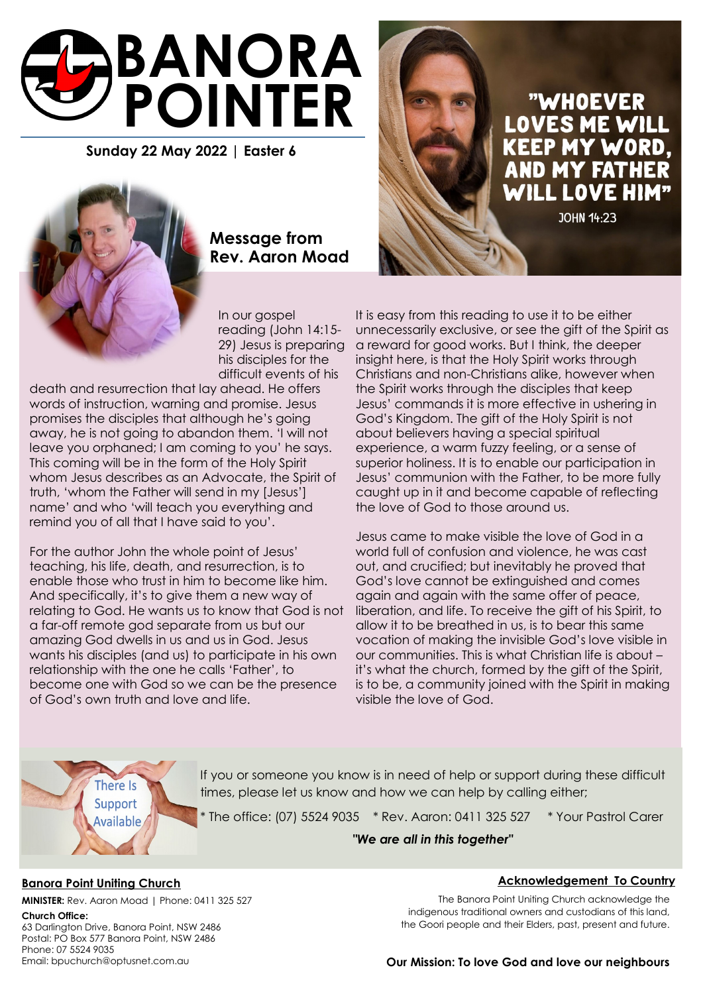

**Sunday 22 May 2022 | Easter 6**



# **Message from Rev. Aaron Moad**

In our gospel reading (John 14:15- 29) Jesus is preparing his disciples for the difficult events of his

death and resurrection that lay ahead. He offers words of instruction, warning and promise. Jesus promises the disciples that although he's going away, he is not going to abandon them. 'I will not leave you orphaned; I am coming to you' he says. This coming will be in the form of the Holy Spirit whom Jesus describes as an Advocate, the Spirit of truth, 'whom the Father will send in my [Jesus'] name' and who 'will teach you everything and remind you of all that I have said to you'.

For the author John the whole point of Jesus' teaching, his life, death, and resurrection, is to enable those who trust in him to become like him. And specifically, it's to give them a new way of relating to God. He wants us to know that God is not a far-off remote god separate from us but our amazing God dwells in us and us in God. Jesus wants his disciples (and us) to participate in his own relationship with the one he calls 'Father', to become one with God so we can be the presence of God's own truth and love and life.



It is easy from this reading to use it to be either unnecessarily exclusive, or see the gift of the Spirit as a reward for good works. But I think, the deeper insight here, is that the Holy Spirit works through Christians and non-Christians alike, however when the Spirit works through the disciples that keep Jesus' commands it is more effective in ushering in God's Kingdom. The gift of the Holy Spirit is not about believers having a special spiritual experience, a warm fuzzy feeling, or a sense of superior holiness. It is to enable our participation in Jesus' communion with the Father, to be more fully caught up in it and become capable of reflecting the love of God to those around us.

Jesus came to make visible the love of God in a world full of confusion and violence, he was cast out, and crucified; but inevitably he proved that God's love cannot be extinguished and comes again and again with the same offer of peace, liberation, and life. To receive the gift of his Spirit, to allow it to be breathed in us, is to bear this same vocation of making the invisible God's love visible in our communities. This is what Christian life is about – it's what the church, formed by the gift of the Spirit, is to be, a community joined with the Spirit in making visible the love of God.

There Is Support **Available** 

If you or someone you know is in need of help or support during these difficult times, please let us know and how we can help by calling either;

\* The office: (07) 5524 9035 \* Rev. Aaron: 0411 325 527 \* Your Pastrol Carer

*"We are all in this together"* 

## **Banora Point Uniting Church**

**MINISTER:** Rev. Aaron Moad | Phone: 0411 325 527

### **Church Office:**

63 Darlington Drive, Banora Point, NSW 2486 Postal: PO Box 577 Banora Point, NSW 2486 Phone: 07 5524 9035 Email: bpuchurch@optusnet.com.au

### **Acknowledgement To Country**

The Banora Point Uniting Church acknowledge the indigenous traditional owners and custodians of this land, the Goori people and their Elders, past, present and future.

## **Our Mission: To love God and love our neighbours**